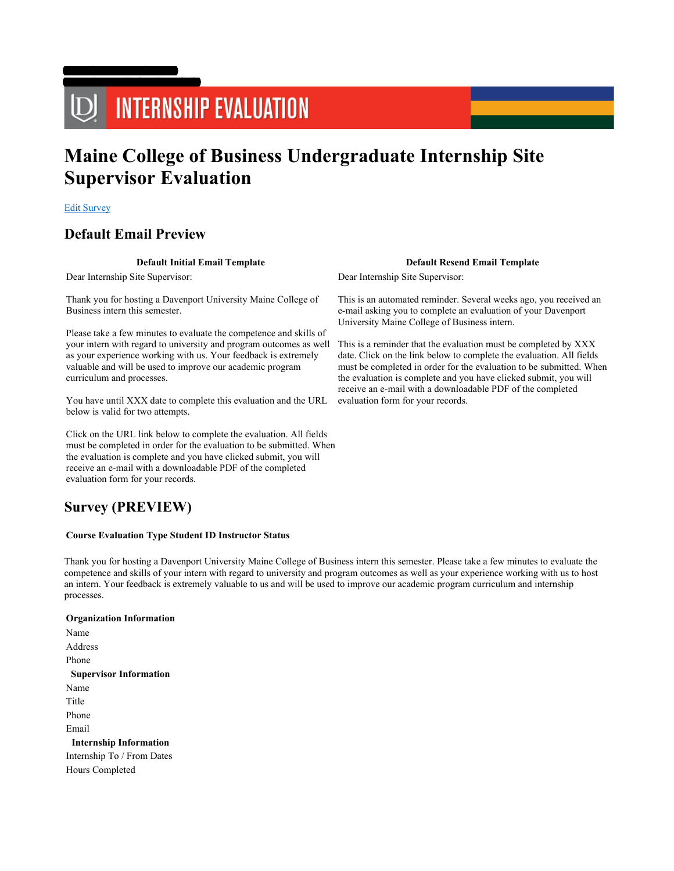# UD INTERNSHIP EVALUATION

## Maine College of Business Undergraduate Internship Site Supervisor Evaluation

Edit Survey

## Default Email Preview

Logged in as wsneath logout Home Surveys Update Term Code

## Default Initial Email Template Default Resend Email Template

Dear Internship Site Supervisor:

Thank you for hosting a Davenport University Maine College of Business intern this semester.

Please take a few minutes to evaluate the competence and skills of your intern with regard to university and program outcomes as well as your experience working with us. Your feedback is extremely valuable and will be used to improve our academic program curriculum and processes.

You have until XXX date to complete this evaluation and the URL below is valid for two attempts.

Click on the URL link below to complete the evaluation. All fields must be completed in order for the evaluation to be submitted. When the evaluation is complete and you have clicked submit, you will receive an e-mail with a downloadable PDF of the completed evaluation form for your records.

## Survey (PREVIEW)

#### Course Evaluation Type Student ID Instructor Status

Thank you for hosting a Davenport University Maine College of Business intern this semester. Please take a few minutes to evaluate the competence and skills of your intern with regard to university and program outcomes as well as your experience working with us to host an intern. Your feedback is extremely valuable to us and will be used to improve our academic program curriculum and internship processes.

## Organization Information Name Address Phone Supervisor Information Name Title Phone Email Internship Information Internship To / From Dates Hours Completed

Dear Internship Site Supervisor:

This is an automated reminder. Several weeks ago, you received an e-mail asking you to complete an evaluation of your Davenport University Maine College of Business intern.

This is a reminder that the evaluation must be completed by XXX date. Click on the link below to complete the evaluation. All fields must be completed in order for the evaluation to be submitted. When the evaluation is complete and you have clicked submit, you will receive an e-mail with a downloadable PDF of the completed evaluation form for your records.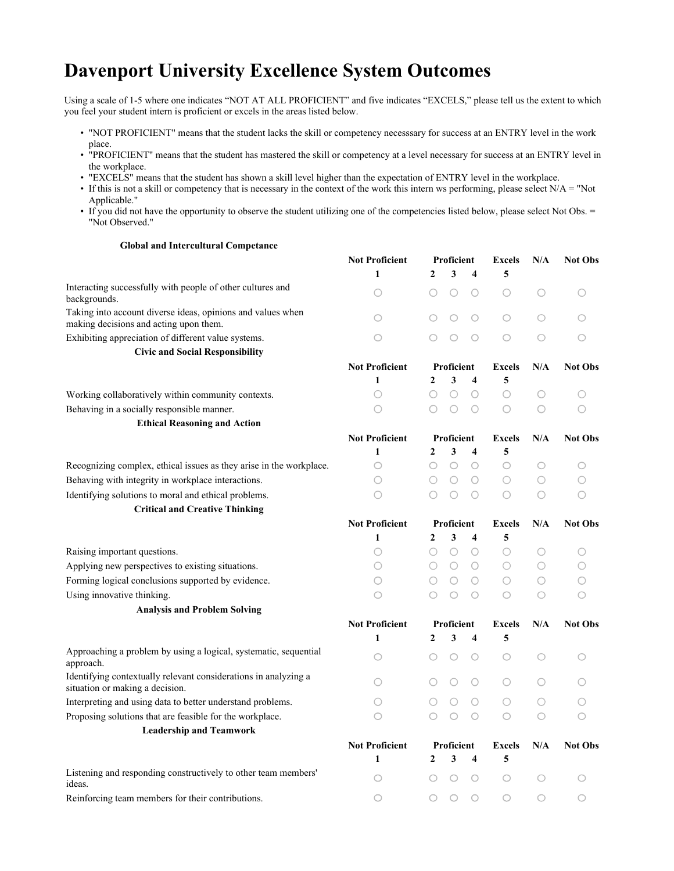## Davenport University Excellence System Outcomes

Using a scale of 1-5 where one indicates "NOT AT ALL PROFICIENT" and five indicates "EXCELS," please tell us the extent to which you feel your student intern is proficient or excels in the areas listed below.

- "NOT PROFICIENT" means that the student lacks the skill or competency necesssary for success at an ENTRY level in the work place.
- "PROFICIENT" means that the student has mastered the skill or competency at a level necessary for success at an ENTRY level in the workplace.
- "EXCELS" means that the student has shown a skill level higher than the expectation of ENTRY level in the workplace.
- If this is not a skill or competency that is necessary in the context of the work this intern ws performing, please select  $N/A = "Not$ Applicable."
- If you did not have the opportunity to observe the student utilizing one of the competencies listed below, please select Not Obs. = "Not Observed."

## Global and Intercultural Competance

|                                                                                                       | <b>Not Proficient</b> | Proficient                                     | <b>Excels</b>       | N/A                 | <b>Not Obs</b> |
|-------------------------------------------------------------------------------------------------------|-----------------------|------------------------------------------------|---------------------|---------------------|----------------|
|                                                                                                       | 1                     | 3<br>2<br>4                                    | 5                   |                     |                |
| Interacting successfully with people of other cultures and<br>backgrounds.                            | O                     | O<br>O<br>O                                    | O                   | O                   | O              |
| Taking into account diverse ideas, opinions and values when<br>making decisions and acting upon them. | O                     | O<br>○<br>O                                    | $\circlearrowright$ | O                   | O              |
| Exhibiting appreciation of different value systems.                                                   | O                     | $\bigcirc$<br>O<br>○                           | O                   | O                   | O              |
| <b>Civic and Social Responsibility</b>                                                                |                       |                                                |                     |                     |                |
|                                                                                                       | <b>Not Proficient</b> | Proficient                                     | <b>Excels</b>       | N/A                 | <b>Not Obs</b> |
|                                                                                                       | $\mathbf{1}$          | 3<br>2<br>4                                    | 5                   |                     |                |
| Working collaboratively within community contexts.                                                    | 0                     | $\bigcirc$<br>$\circ$<br>∩                     | O                   | O                   | O              |
| Behaving in a socially responsible manner.                                                            | 0                     | 0<br>0<br>∩                                    | O                   | O                   | O              |
| <b>Ethical Reasoning and Action</b>                                                                   |                       |                                                |                     |                     |                |
|                                                                                                       | <b>Not Proficient</b> | Proficient                                     | <b>Excels</b>       | N/A                 | <b>Not Obs</b> |
|                                                                                                       | $\mathbf{1}$          | 3<br>$\overline{2}$<br>$\overline{\mathbf{4}}$ | 5                   |                     |                |
| Recognizing complex, ethical issues as they arise in the workplace.                                   | O                     | ○<br>O<br>O                                    | O                   | O                   | O              |
| Behaving with integrity in workplace interactions.                                                    | O                     | O<br>O<br>O                                    | O                   | O                   | O              |
| Identifying solutions to moral and ethical problems.                                                  | Ω                     | ∩<br>Ω<br>Ω                                    | O                   | O                   | O              |
| <b>Critical and Creative Thinking</b>                                                                 |                       |                                                |                     |                     |                |
|                                                                                                       | <b>Not Proficient</b> | Proficient                                     | <b>Excels</b>       | N/A                 | <b>Not Obs</b> |
|                                                                                                       | $\mathbf{1}$          | 3<br>2<br>4                                    | 5                   |                     |                |
| Raising important questions.                                                                          | O                     | O<br>O<br>∩                                    | O                   | O                   | O              |
| Applying new perspectives to existing situations.                                                     | O                     | O<br>О<br>O                                    | O                   | O                   | O              |
| Forming logical conclusions supported by evidence.                                                    | 0                     | Ω<br>0<br>∩                                    | O                   | O                   | O              |
| Using innovative thinking.                                                                            | ∩                     | $\circ$<br>∩<br>○                              | O                   | O                   | O              |
| <b>Analysis and Problem Solving</b>                                                                   |                       |                                                |                     |                     |                |
|                                                                                                       | <b>Not Proficient</b> | Proficient                                     | <b>Excels</b>       | N/A                 | <b>Not Obs</b> |
|                                                                                                       | 1                     | 3<br>2<br>4                                    | 5                   |                     |                |
| Approaching a problem by using a logical, systematic, sequential<br>approach.                         | O                     | $\circ$<br>O<br>O                              | O                   | $\circlearrowright$ | O              |
| Identifying contextually relevant considerations in analyzing a<br>situation or making a decision.    | O                     | О<br>O                                         | O                   | O                   | O              |
| Interpreting and using data to better understand problems.                                            | O                     | 0<br>∩                                         | O                   | O                   | O              |
| Proposing solutions that are feasible for the workplace.                                              | O                     | $\circ$<br>O                                   | $\circlearrowright$ | O                   | O              |
| <b>Leadership and Teamwork</b>                                                                        |                       |                                                |                     |                     |                |
|                                                                                                       | <b>Not Proficient</b> | Proficient                                     | <b>Excels</b>       | N/A                 | <b>Not Obs</b> |
|                                                                                                       | $\mathbf{1}$          | $\mathbf{2}$<br>3<br>$\overline{\mathbf{4}}$   | 5                   |                     |                |
| Listening and responding constructively to other team members'<br>ideas.                              | O                     | $\bigcirc$<br>0<br>O                           | O                   | O                   | ○              |
| Reinforcing team members for their contributions.                                                     | $\bigcirc$            | $\circlearrowright$<br>$\circ$<br>O            | O                   | $\circlearrowright$ | O              |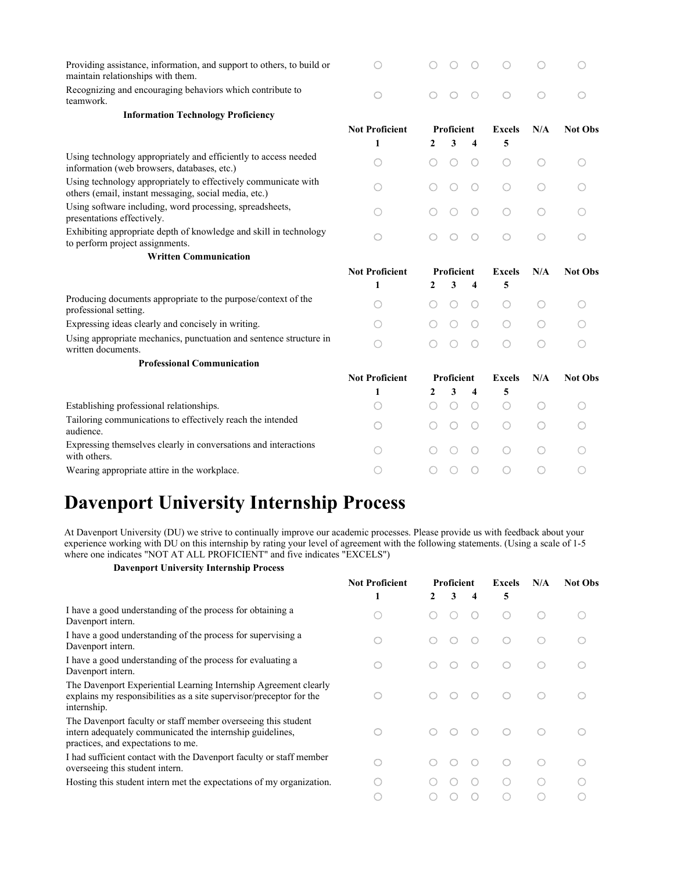| Providing assistance, information, and support to others, to build or<br>maintain relationships with them.              |                       |   |                   |            |               |            |                |
|-------------------------------------------------------------------------------------------------------------------------|-----------------------|---|-------------------|------------|---------------|------------|----------------|
| Recognizing and encouraging behaviors which contribute to<br>teamwork.                                                  | $\bigcirc$            |   | O                 | $\circ$    | $\bigcirc$    | $\bigcirc$ | ∩              |
| <b>Information Technology Proficiency</b>                                                                               |                       |   |                   |            |               |            |                |
|                                                                                                                         | <b>Not Proficient</b> |   | <b>Proficient</b> |            | <b>Excels</b> | N/A        | <b>Not Obs</b> |
|                                                                                                                         | $\mathbf{1}$          | 2 | 3                 | 4          | 5             |            |                |
| Using technology appropriately and efficiently to access needed<br>information (web browsers, databases, etc.)          | ∩                     |   |                   | O          | O             | 0          | ∩              |
| Using technology appropriately to effectively communicate with<br>others (email, instant messaging, social media, etc.) | ( )                   |   |                   | O          | 0             | 0          |                |
| Using software including, word processing, spreadsheets,<br>presentations effectively.                                  |                       |   |                   |            | 0             |            |                |
| Exhibiting appropriate depth of knowledge and skill in technology<br>to perform project assignments.                    | ∩                     |   |                   | O          | $\bigcirc$    | ○          | ∩              |
| <b>Written Communication</b>                                                                                            |                       |   |                   |            |               |            |                |
|                                                                                                                         |                       |   |                   |            |               |            |                |
|                                                                                                                         | <b>Not Proficient</b> |   | <b>Proficient</b> |            | <b>Excels</b> | N/A        | <b>Not Obs</b> |
|                                                                                                                         | 1                     | 2 | 3                 | 4          | 5             |            |                |
| Producing documents appropriate to the purpose/context of the<br>professional setting.                                  | ○                     |   |                   | О          | 0             | 0          |                |
| Expressing ideas clearly and concisely in writing.                                                                      | ∩                     |   |                   | Ω          | 0             | ∩          |                |
| Using appropriate mechanics, punctuation and sentence structure in<br>written documents.                                | ∩                     |   |                   | $\bigcirc$ | ∩             | ∩          |                |
| <b>Professional Communication</b>                                                                                       |                       |   |                   |            |               |            |                |
|                                                                                                                         | <b>Not Proficient</b> |   | <b>Proficient</b> |            | <b>Excels</b> | N/A        | <b>Not Obs</b> |
|                                                                                                                         | 1                     | 2 | 3                 | 4          | 5             |            |                |
| Establishing professional relationships.                                                                                |                       |   |                   | О          | O             | O          |                |
| Tailoring communications to effectively reach the intended<br>audience.                                                 | ○                     |   |                   | O          | O             | ∩          |                |
| Expressing themselves clearly in conversations and interactions<br>with others.                                         |                       |   |                   | $\bigcirc$ | $\bigcirc$    | ∩          |                |

## Davenport University Internship Process

At Davenport University (DU) we strive to continually improve our academic processes. Please provide us with feedback about your experience working with DU on this internship by rating your level of agreement with the following statements. (Using a scale of 1-5 where one indicates "NOT AT ALL PROFICIENT" and five indicates "EXCELS")

## Davenport University Internship Process

|                                                                                                                                                                  | <b>Not Proficient</b> | <b>Proficient</b> |   |   | <b>Excels</b> | N/A | <b>Not Obs</b> |
|------------------------------------------------------------------------------------------------------------------------------------------------------------------|-----------------------|-------------------|---|---|---------------|-----|----------------|
|                                                                                                                                                                  |                       | 2                 | 3 | 4 | 5             |     |                |
| I have a good understanding of the process for obtaining a<br>Davenport intern.                                                                                  |                       |                   |   |   | ( )           |     |                |
| I have a good understanding of the process for supervising a<br>Davenport intern.                                                                                | 0                     |                   |   |   | ∩             |     |                |
| I have a good understanding of the process for evaluating a<br>Davenport intern.                                                                                 | ∩                     |                   |   |   | ∩             |     |                |
| The Davenport Experiential Learning Internship Agreement clearly<br>explains my responsibilities as a site supervisor/preceptor for the<br>internship.           |                       |                   |   |   | $\bigcirc$    |     |                |
| The Davenport faculty or staff member overseeing this student<br>intern adequately communicated the internship guidelines,<br>practices, and expectations to me. |                       |                   |   |   | $\bigcap$     |     |                |
| I had sufficient contact with the Davenport faculty or staff member<br>overseeing this student intern.                                                           |                       |                   |   |   | ∩             |     |                |
| Hosting this student intern met the expectations of my organization.                                                                                             |                       |                   |   |   | (             |     |                |
|                                                                                                                                                                  |                       |                   |   |   |               |     |                |